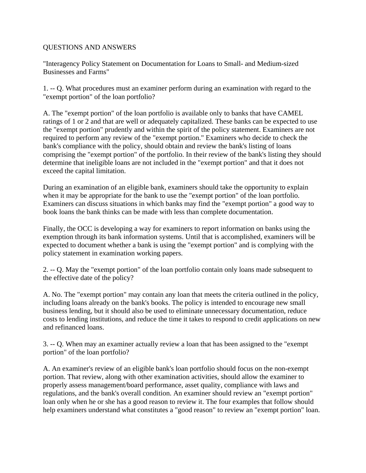## QUESTIONS AND ANSWERS

"Interagency Policy Statement on Documentation for Loans to Small- and Medium-sized Businesses and Farms"

1. -- Q. What procedures must an examiner perform during an examination with regard to the "exempt portion" of the loan portfolio?

A. The "exempt portion" of the loan portfolio is available only to banks that have CAMEL ratings of 1 or 2 and that are well or adequately capitalized. These banks can be expected to use the "exempt portion" prudently and within the spirit of the policy statement. Examiners are not required to perform any review of the "exempt portion." Examiners who decide to check the bank's compliance with the policy, should obtain and review the bank's listing of loans comprising the "exempt portion" of the portfolio. In their review of the bank's listing they should determine that ineligible loans are not included in the "exempt portion" and that it does not exceed the capital limitation.

During an examination of an eligible bank, examiners should take the opportunity to explain when it may be appropriate for the bank to use the "exempt portion" of the loan portfolio. Examiners can discuss situations in which banks may find the "exempt portion" a good way to book loans the bank thinks can be made with less than complete documentation.

Finally, the OCC is developing a way for examiners to report information on banks using the exemption through its bank information systems. Until that is accomplished, examiners will be expected to document whether a bank is using the "exempt portion" and is complying with the policy statement in examination working papers.

2. -- Q. May the "exempt portion" of the loan portfolio contain only loans made subsequent to the effective date of the policy?

A. No. The "exempt portion" may contain any loan that meets the criteria outlined in the policy, including loans already on the bank's books. The policy is intended to encourage new small business lending, but it should also be used to eliminate unnecessary documentation, reduce costs to lending institutions, and reduce the time it takes to respond to credit applications on new and refinanced loans.

3. -- Q. When may an examiner actually review a loan that has been assigned to the "exempt portion" of the loan portfolio?

A. An examiner's review of an eligible bank's loan portfolio should focus on the non-exempt portion. That review, along with other examination activities, should allow the examiner to properly assess management/board performance, asset quality, compliance with laws and regulations, and the bank's overall condition. An examiner should review an "exempt portion" loan only when he or she has a good reason to review it. The four examples that follow should help examiners understand what constitutes a "good reason" to review an "exempt portion" loan.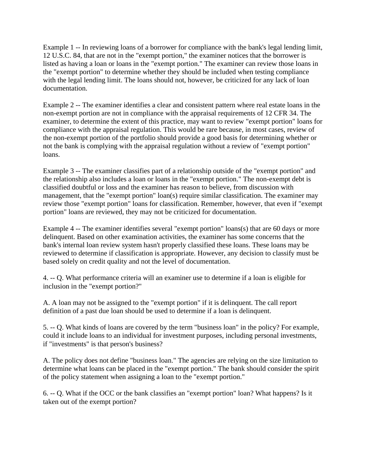Example 1 -- In reviewing loans of a borrower for compliance with the bank's legal lending limit, 12 U.S.C. 84, that are not in the "exempt portion," the examiner notices that the borrower is listed as having a loan or loans in the "exempt portion." The examiner can review those loans in the "exempt portion" to determine whether they should be included when testing compliance with the legal lending limit. The loans should not, however, be criticized for any lack of loan documentation.

Example 2 -- The examiner identifies a clear and consistent pattern where real estate loans in the non-exempt portion are not in compliance with the appraisal requirements of 12 CFR 34. The examiner, to determine the extent of this practice, may want to review "exempt portion" loans for compliance with the appraisal regulation. This would be rare because, in most cases, review of the non-exempt portion of the portfolio should provide a good basis for determining whether or not the bank is complying with the appraisal regulation without a review of "exempt portion" loans.

Example 3 -- The examiner classifies part of a relationship outside of the "exempt portion" and the relationship also includes a loan or loans in the "exempt portion." The non-exempt debt is classified doubtful or loss and the examiner has reason to believe, from discussion with management, that the "exempt portion" loan(s) require similar classification. The examiner may review those "exempt portion" loans for classification. Remember, however, that even if "exempt portion" loans are reviewed, they may not be criticized for documentation.

Example 4 -- The examiner identifies several "exempt portion" loans(s) that are 60 days or more delinquent. Based on other examination activities, the examiner has some concerns that the bank's internal loan review system hasn't properly classified these loans. These loans may be reviewed to determine if classification is appropriate. However, any decision to classify must be based solely on credit quality and not the level of documentation.

4. -- Q. What performance criteria will an examiner use to determine if a loan is eligible for inclusion in the "exempt portion?"

A. A loan may not be assigned to the "exempt portion" if it is delinquent. The call report definition of a past due loan should be used to determine if a loan is delinquent.

5. -- Q. What kinds of loans are covered by the term "business loan" in the policy? For example, could it include loans to an individual for investment purposes, including personal investments, if "investments" is that person's business?

A. The policy does not define "business loan." The agencies are relying on the size limitation to determine what loans can be placed in the "exempt portion." The bank should consider the spirit of the policy statement when assigning a loan to the "exempt portion."

6. -- Q. What if the OCC or the bank classifies an "exempt portion" loan? What happens? Is it taken out of the exempt portion?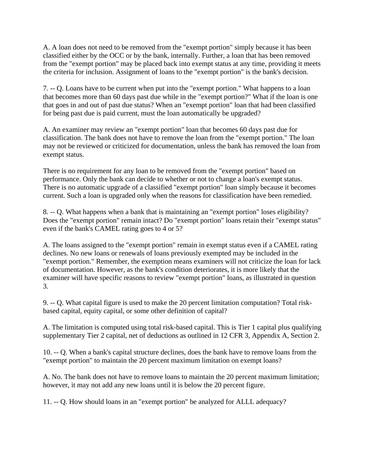A. A loan does not need to be removed from the "exempt portion" simply because it has been classified either by the OCC or by the bank, internally. Further, a loan that has been removed from the "exempt portion" may be placed back into exempt status at any time, providing it meets the criteria for inclusion. Assignment of loans to the "exempt portion" is the bank's decision.

7. -- Q. Loans have to be current when put into the "exempt portion." What happens to a loan that becomes more than 60 days past due while in the "exempt portion?" What if the loan is one that goes in and out of past due status? When an "exempt portion" loan that had been classified for being past due is paid current, must the loan automatically be upgraded?

A. An examiner may review an "exempt portion" loan that becomes 60 days past due for classification. The bank does not have to remove the loan from the "exempt portion." The loan may not be reviewed or criticized for documentation, unless the bank has removed the loan from exempt status.

There is no requirement for any loan to be removed from the "exempt portion" based on performance. Only the bank can decide to whether or not to change a loan's exempt status. There is no automatic upgrade of a classified "exempt portion" loan simply because it becomes current. Such a loan is upgraded only when the reasons for classification have been remedied.

8. -- Q. What happens when a bank that is maintaining an "exempt portion" loses eligibility? Does the "exempt portion" remain intact? Do "exempt portion" loans retain their "exempt status" even if the bank's CAMEL rating goes to 4 or 5?

A. The loans assigned to the "exempt portion" remain in exempt status even if a CAMEL rating declines. No new loans or renewals of loans previously exempted may be included in the "exempt portion." Remember, the exemption means examiners will not criticize the loan for lack of documentation. However, as the bank's condition deteriorates, it is more likely that the examiner will have specific reasons to review "exempt portion" loans, as illustrated in question 3.

9. -- Q. What capital figure is used to make the 20 percent limitation computation? Total riskbased capital, equity capital, or some other definition of capital?

A. The limitation is computed using total risk-based capital. This is Tier 1 capital plus qualifying supplementary Tier 2 capital, net of deductions as outlined in 12 CFR 3, Appendix A, Section 2.

10. -- Q. When a bank's capital structure declines, does the bank have to remove loans from the "exempt portion" to maintain the 20 percent maximum limitation on exempt loans?

A. No. The bank does not have to remove loans to maintain the 20 percent maximum limitation; however, it may not add any new loans until it is below the 20 percent figure.

11. -- Q. How should loans in an "exempt portion" be analyzed for ALLL adequacy?